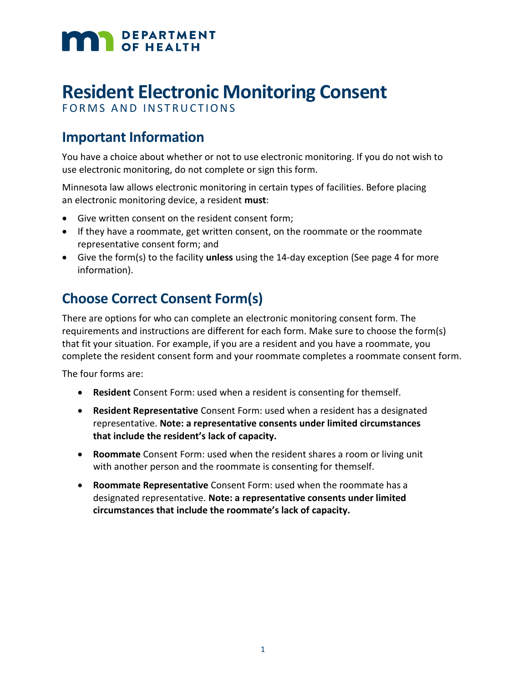# **MAN** DEPARTMENT

## **Resident Electronic Monitoring Consent**

FORMS AND INSTRUCTIONS

## **Important Information**

You have a choice about whether or not to use electronic monitoring. If you do not wish to use electronic monitoring, do not complete or sign this form.

Minnesota law allows electronic monitoring in certain types of facilities. Before placing an electronic monitoring device, a resident **must**:

- Give written consent on the resident consent form;
- If they have a roommate, get written consent, on the roommate or the roommate representative consent form; and
- Give the form(s) to the facility **unless** using the 14-day exception (See page 4 for more information).

## **Choose Correct Consent Form(s)**

There are options for who can complete an electronic monitoring consent form. The requirements and instructions are different for each form. Make sure to choose the form(s) that fit your situation. For example, if you are a resident and you have a roommate, you complete the resident consent form and your roommate completes a roommate consent form.

The four forms are:

- **Resident** Consent Form: used when a resident is consenting for themself.
- **Resident Representative** Consent Form: used when a resident has a designated representative. **Note: a representative consents under limited circumstances that include the resident's lack of capacity.**
- **Roommate** Consent Form: used when the resident shares a room or living unit with another person and the roommate is consenting for themself.
- **Roommate Representative** Consent Form: used when the roommate has a designated representative. **Note: a representative consents under limited circumstances that include the roommate's lack of capacity.**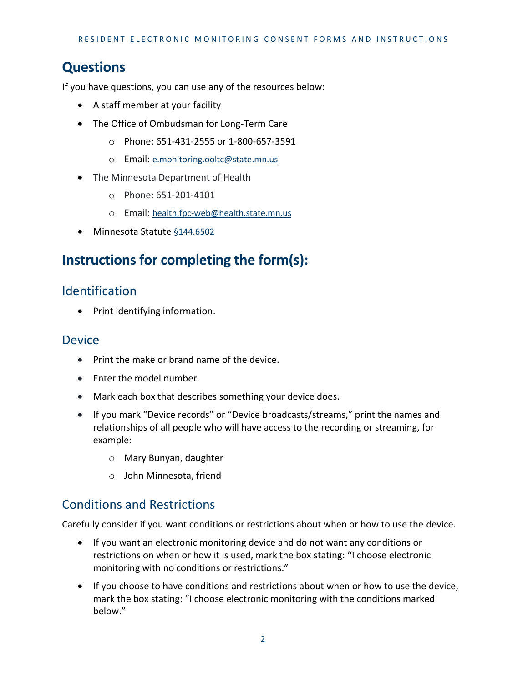## **Questions**

If you have questions, you can use any of the resources below:

- A staff member at your facility
- The Office of Ombudsman for Long-Term Care
	- o Phone: 651-431-2555 or 1-800-657-3591
	- o Email: [e.monitoring.ooltc@state.mn.us](mailto:e.monitoring.ooltc@state.mn.us)
- The Minnesota Department of Health
	- o Phone: 651-201-4101
	- o Email: [health.fpc-web@health.state.mn.us](mailto:health.fpc-web@health.state.mn.us)
- Minnesota Statute §144.6502

## **Instructions for completing the form(s):**

#### Identification

• Print identifying information.

#### Device

- Print the make or brand name of the device.
- Enter the model number.
- Mark each box that describes something your device does.
- If you mark "Device records" or "Device broadcasts/streams," print the names and relationships of all people who will have access to the recording or streaming, for example:
	- o Mary Bunyan, daughter
	- o John Minnesota, friend

#### Conditions and Restrictions

Carefully consider if you want conditions or restrictions about when or how to use the device.

- If you want an electronic monitoring device and do not want any conditions or restrictions on when or how it is used, mark the box stating: "I choose electronic monitoring with no conditions or restrictions."
- If you choose to have conditions and restrictions about when or how to use the device, mark the box stating: "I choose electronic monitoring with the conditions marked below."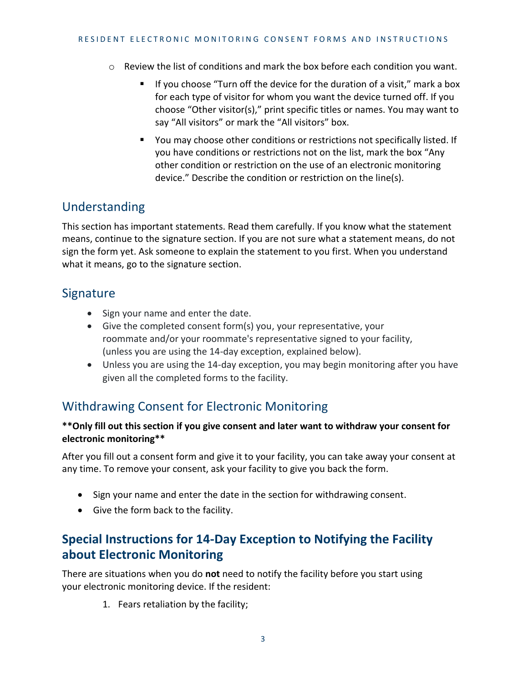- o Review the list of conditions and mark the box before each condition you want.
	- If you choose "Turn off the device for the duration of a visit," mark a box for each type of visitor for whom you want the device turned off. If you choose "Other visitor(s)," print specific titles or names. You may want to say "All visitors" or mark the "All visitors" box.
	- You may choose other conditions or restrictions not specifically listed. If you have conditions or restrictions not on the list, mark the box "Any other condition or restriction on the use of an electronic monitoring device." Describe the condition or restriction on the line(s).

#### Understanding

This section has important statements. Read them carefully. If you know what the statement means, continue to the signature section. If you are not sure what a statement means, do not sign the form yet. Ask someone to explain the statement to you first. When you understand what it means, go to the signature section.

#### **Signature**

- Sign your name and enter the date.
- Give the completed consent form(s) you, your representative, your roommate and/or your roommate's representative signed to your facility, (unless you are using the 14-day exception, explained below).
- Unless you are using the 14-day exception, you may begin monitoring after you have given all the completed forms to the facility.

## Withdrawing Consent for Electronic Monitoring

#### **\*\*Only fill out this section if you give consent and later want to withdraw your consent for electronic monitoring\*\***

After you fill out a consent form and give it to your facility, you can take away your consent at any time. To remove your consent, ask your facility to give you back the form.

- Sign your name and enter the date in the section for withdrawing consent.
- Give the form back to the facility.

#### **Special Instructions for 14-Day Exception to Notifying the Facility about Electronic Monitoring**

There are situations when you do **not** need to notify the facility before you start using your electronic monitoring device. If the resident:

1. Fears retaliation by the facility;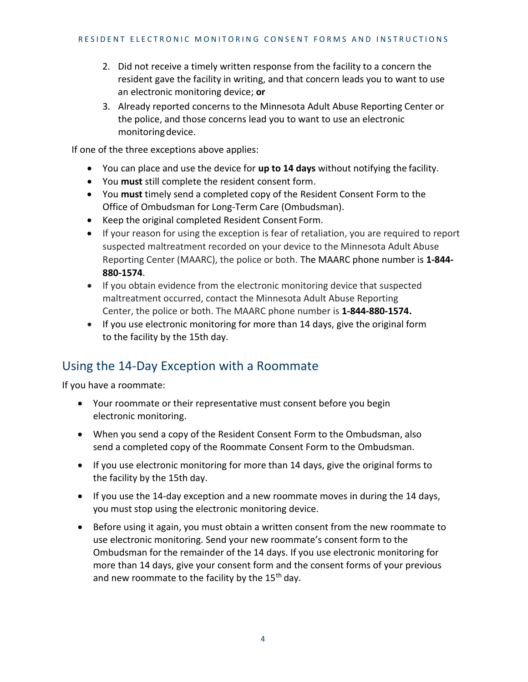- 2. Did not receive a timely written response from the facility to a concern the resident gave the facility in writing, and that concern leads you to want to use an electronic monitoring device; **or**
- 3. Already reported concerns to the Minnesota Adult Abuse Reporting Center or the police, and those concerns lead you to want to use an electronic monitoringdevice.

If one of the three exceptions above applies:

- You can place and use the device for **up to 14 days** without notifying the facility.
- You **must** still complete the resident consent form.
- You **must** timely send a completed copy of the Resident Consent Form to the Office of Ombudsman for Long-Term Care (Ombudsman).
- Keep the original completed Resident Consent Form.
- If your reason for using the exception is fear of retaliation, you are required to report suspected maltreatment recorded on your device to the Minnesota Adult Abuse Reporting Center (MAARC), the police or both. The MAARC phone number is **1-844- 880-1574**.
- If you obtain evidence from the electronic monitoring device that suspected maltreatment occurred, contact the Minnesota Adult Abuse Reporting Center, the police or both. The MAARC phone number is **1-844-880-1574.**
- If you use electronic monitoring for more than 14 days, give the original form to the facility by the 15th day.

## Using the 14-Day Exception with a Roommate

If you have a roommate:

- Your roommate or their representative must consent before you begin electronic monitoring.
- When you send a copy of the Resident Consent Form to the Ombudsman, also send a completed copy of the Roommate Consent Form to the Ombudsman.
- If you use electronic monitoring for more than 14 days, give the original forms to the facility by the 15th day.
- If you use the 14-day exception and a new roommate moves in during the 14 days, you must stop using the electronic monitoring device.
- Before using it again, you must obtain a written consent from the new roommate to use electronic monitoring. Send your new roommate's consent form to the Ombudsman for the remainder of the 14 days. If you use electronic monitoring for more than 14 days, give your consent form and the consent forms of your previous and new roommate to the facility by the  $15<sup>th</sup>$  day.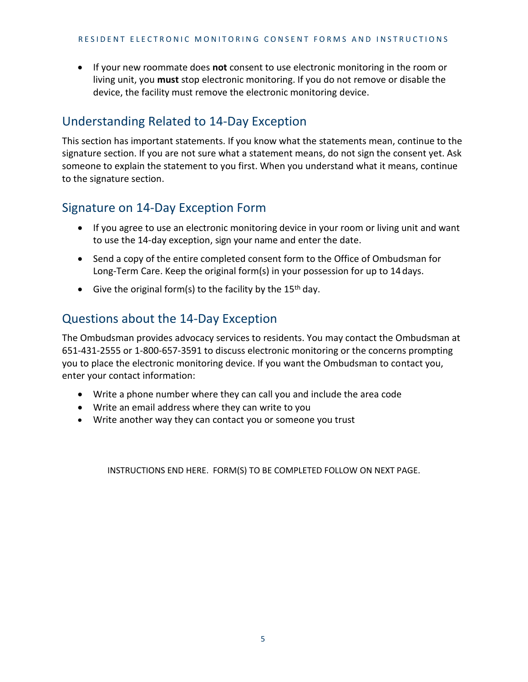If your new roommate does **not** consent to use electronic monitoring in the room or living unit, you **must** stop electronic monitoring. If you do not remove or disable the device, the facility must remove the electronic monitoring device.

## Understanding Related to 14-Day Exception

This section has important statements. If you know what the statements mean, continue to the signature section. If you are not sure what a statement means, do not sign the consent yet. Ask someone to explain the statement to you first. When you understand what it means, continue to the signature section.

#### Signature on 14-Day Exception Form

- If you agree to use an electronic monitoring device in your room or living unit and want to use the 14-day exception, sign your name and enter the date.
- Send a copy of the entire completed consent form to the Office of Ombudsman for Long-Term Care. Keep the original form(s) in your possession for up to 14days.
- Give the original form(s) to the facility by the 15<sup>th</sup> day.

#### Questions about the 14-Day Exception

The Ombudsman provides advocacy services to residents. You may contact the Ombudsman at 651-431-2555 or 1-800-657-3591 to discuss electronic monitoring or the concerns prompting you to place the electronic monitoring device. If you want the Ombudsman to contact you, enter your contact information:

- Write a phone number where they can call you and include the area code
- Write an email address where they can write to you
- Write another way they can contact you or someone you trust

INSTRUCTIONS END HERE. FORM(S) TO BE COMPLETED FOLLOW ON NEXT PAGE.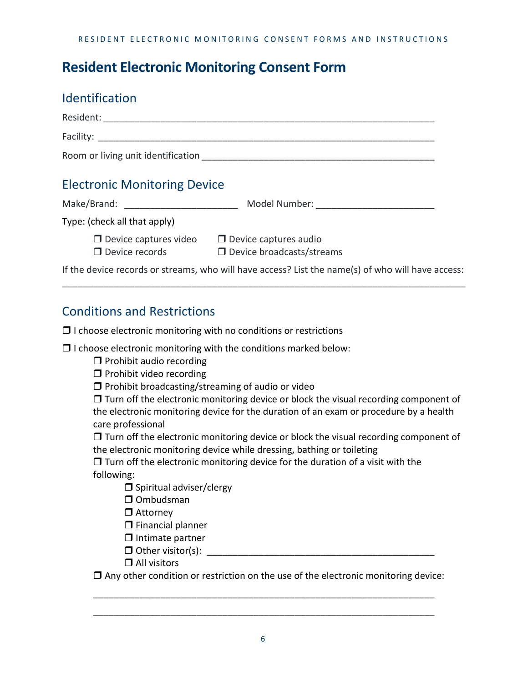## **Resident Electronic Monitoring Consent Form**

#### Identification

|                                                       | Room or living unit identification <b>contains the contract of the contract of the contract of the contract of the contract of the contract of the contract of the contract of the contract of the contract of the contract of t</b> |
|-------------------------------------------------------|--------------------------------------------------------------------------------------------------------------------------------------------------------------------------------------------------------------------------------------|
| <b>Electronic Monitoring Device</b>                   |                                                                                                                                                                                                                                      |
| Make/Brand: ____________________________              |                                                                                                                                                                                                                                      |
| Type: (check all that apply)                          |                                                                                                                                                                                                                                      |
| $\Box$ Device captures video<br>$\Box$ Device records | $\Box$ Device captures audio<br>$\Box$ Device broadcasts/streams                                                                                                                                                                     |
|                                                       | If the device records or streams, who will have access? List the name(s) of who will have access:                                                                                                                                    |

\_\_\_\_\_\_\_\_\_\_\_\_\_\_\_\_\_\_\_\_\_\_\_\_\_\_\_\_\_\_\_\_\_\_\_\_\_\_\_\_\_\_\_\_\_\_\_\_\_\_\_\_\_\_\_\_\_\_\_\_\_\_\_\_\_\_\_\_\_\_\_\_\_\_\_\_\_\_

#### Conditions and Restrictions

 $\Box$  I choose electronic monitoring with no conditions or restrictions

 $\Box$  I choose electronic monitoring with the conditions marked below:

 $\Box$  Prohibit audio recording

 $\Box$  Prohibit video recording

 $\Box$  Prohibit broadcasting/streaming of audio or video

 $\Box$  Turn off the electronic monitoring device or block the visual recording component of the electronic monitoring device for the duration of an exam or procedure by a health care professional

 $\Box$  Turn off the electronic monitoring device or block the visual recording component of the electronic monitoring device while dressing, bathing or toileting

 $\Box$  Turn off the electronic monitoring device for the duration of a visit with the following:

- $\square$  Spiritual adviser/clergy
- □ Ombudsman

□ Attorney

 $\square$  Financial planner

 $\Box$  Intimate partner

 $\Box$  Other visitor(s):

□ All visitors

 $\Box$  Any other condition or restriction on the use of the electronic monitoring device:

\_\_\_\_\_\_\_\_\_\_\_\_\_\_\_\_\_\_\_\_\_\_\_\_\_\_\_\_\_\_\_\_\_\_\_\_\_\_\_\_\_\_\_\_\_\_\_\_\_\_\_\_\_\_\_\_\_\_\_\_\_\_\_\_\_\_

\_\_\_\_\_\_\_\_\_\_\_\_\_\_\_\_\_\_\_\_\_\_\_\_\_\_\_\_\_\_\_\_\_\_\_\_\_\_\_\_\_\_\_\_\_\_\_\_\_\_\_\_\_\_\_\_\_\_\_\_\_\_\_\_\_\_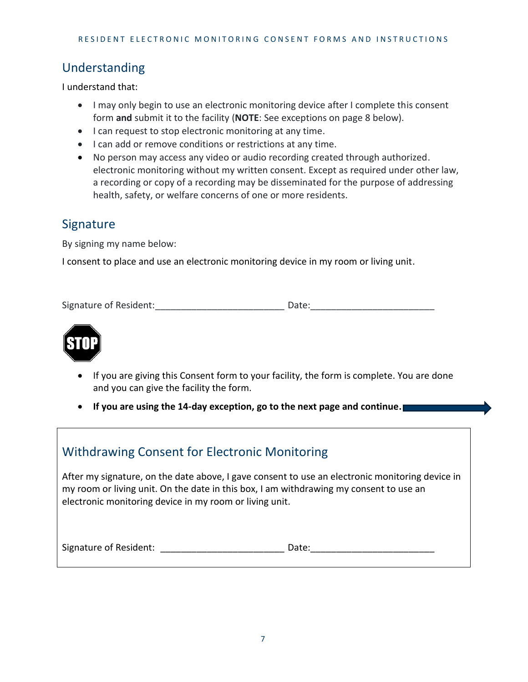## Understanding

I understand that:

- I may only begin to use an electronic monitoring device after I complete this consent form **and** submit it to the facility (**NOTE**: See exceptions on page 8 below).
- I can request to stop electronic monitoring at any time.
- I can add or remove conditions or restrictions at any time.
- No person may access any video or audio recording created through authorized. electronic monitoring without my written consent. Except as required under other law, a recording or copy of a recording may be disseminated for the purpose of addressing health, safety, or welfare concerns of one or more residents.

#### Signature

By signing my name below:

I consent to place and use an electronic monitoring device in my room or living unit.

Signature of Resident:\_\_\_\_\_\_\_\_\_\_\_\_\_\_\_\_\_\_\_\_\_\_\_\_\_ Date:\_\_\_\_\_\_\_\_\_\_\_\_\_\_\_\_\_\_\_\_\_\_\_\_



- If you are giving this Consent form to your facility, the form is complete. You are done and you can give the facility the form.
- **If you are using the 14-day exception, go to the next page and continue.**

| <b>Withdrawing Consent for Electronic Monitoring</b>                                                                                                                                                                                                 |  |
|------------------------------------------------------------------------------------------------------------------------------------------------------------------------------------------------------------------------------------------------------|--|
| After my signature, on the date above, I gave consent to use an electronic monitoring device in<br>my room or living unit. On the date in this box, I am withdrawing my consent to use an<br>electronic monitoring device in my room or living unit. |  |
| Signature of Resident:<br>Date:                                                                                                                                                                                                                      |  |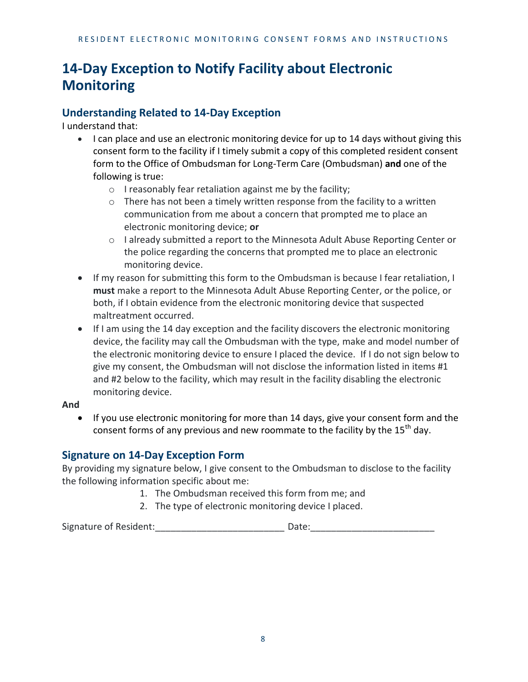## **14-Day Exception to Notify Facility about Electronic Monitoring**

#### **Understanding Related to 14-Day Exception**

I understand that:

- I can place and use an electronic monitoring device for up to 14 days without giving this consent form to the facility if I timely submit a copy of this completed resident consent form to the Office of Ombudsman for Long-Term Care (Ombudsman) **and** one of the following is true:
	- o I reasonably fear retaliation against me by the facility;
	- o There has not been a timely written response from the facility to a written communication from me about a concern that prompted me to place an electronic monitoring device; **or**
	- o I already submitted a report to the Minnesota Adult Abuse Reporting Center or the police regarding the concerns that prompted me to place an electronic monitoring device.
- If my reason for submitting this form to the Ombudsman is because I fear retaliation, I **must** make a report to the Minnesota Adult Abuse Reporting Center, or the police, or both, if I obtain evidence from the electronic monitoring device that suspected maltreatment occurred.
- If I am using the 14 day exception and the facility discovers the electronic monitoring device, the facility may call the Ombudsman with the type, make and model number of the electronic monitoring device to ensure I placed the device. If I do not sign below to give my consent, the Ombudsman will not disclose the information listed in items #1 and #2 below to the facility, which may result in the facility disabling the electronic monitoring device.

#### **And**

• If you use electronic monitoring for more than 14 days, give your consent form and the consent forms of any previous and new roommate to the facility by the 15<sup>th</sup> day.

#### **Signature on 14-Day Exception Form**

By providing my signature below, I give consent to the Ombudsman to disclose to the facility the following information specific about me:

- 1. The Ombudsman received this form from me; and
- 2. The type of electronic monitoring device I placed.

Signature of Resident: The Contract of Resident: The Contract of Resident: